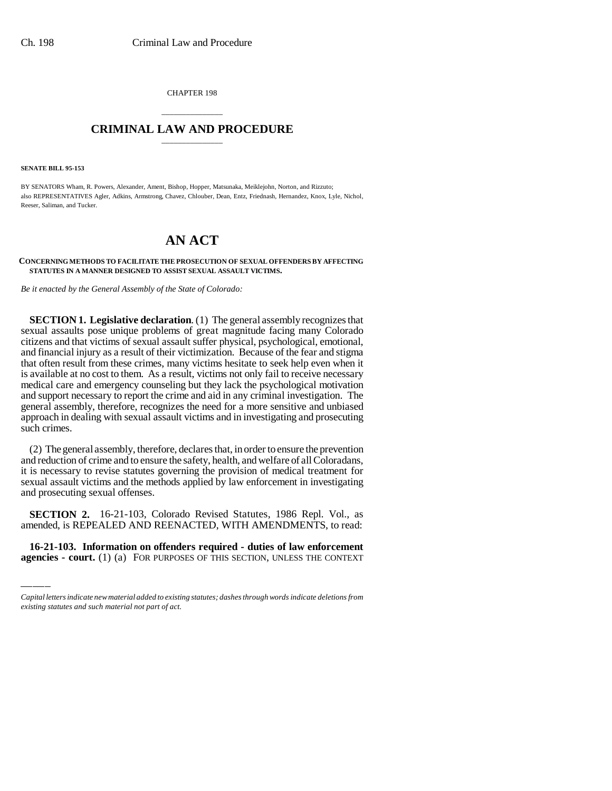CHAPTER 198

## \_\_\_\_\_\_\_\_\_\_\_\_\_\_\_ **CRIMINAL LAW AND PROCEDURE** \_\_\_\_\_\_\_\_\_\_\_\_\_\_\_

**SENATE BILL 95-153**

BY SENATORS Wham, R. Powers, Alexander, Ament, Bishop, Hopper, Matsunaka, Meiklejohn, Norton, and Rizzuto; also REPRESENTATIVES Agler, Adkins, Armstrong, Chavez, Chlouber, Dean, Entz, Friednash, Hernandez, Knox, Lyle, Nichol, Reeser, Saliman, and Tucker.

## **AN ACT**

**CONCERNING METHODS TO FACILITATE THE PROSECUTION OF SEXUAL OFFENDERS BY AFFECTING STATUTES IN A MANNER DESIGNED TO ASSIST SEXUAL ASSAULT VICTIMS.**

*Be it enacted by the General Assembly of the State of Colorado:*

**SECTION 1. Legislative declaration**. (1) The general assembly recognizes that sexual assaults pose unique problems of great magnitude facing many Colorado citizens and that victims of sexual assault suffer physical, psychological, emotional, and financial injury as a result of their victimization. Because of the fear and stigma that often result from these crimes, many victims hesitate to seek help even when it is available at no cost to them. As a result, victims not only fail to receive necessary medical care and emergency counseling but they lack the psychological motivation and support necessary to report the crime and aid in any criminal investigation. The general assembly, therefore, recognizes the need for a more sensitive and unbiased approach in dealing with sexual assault victims and in investigating and prosecuting such crimes.

(2) The general assembly, therefore, declares that, in order to ensure the prevention and reduction of crime and to ensure the safety, health, and welfare of all Coloradans, it is necessary to revise statutes governing the provision of medical treatment for sexual assault victims and the methods applied by law enforcement in investigating and prosecuting sexual offenses.

 **SECTION 2.** 16-21-103, Colorado Revised Statutes, 1986 Repl. Vol., as amended, is REPEALED AND REENACTED, WITH AMENDMENTS, to read:

**16-21-103. Information on offenders required - duties of law enforcement agencies - court.** (1) (a) FOR PURPOSES OF THIS SECTION, UNLESS THE CONTEXT

*Capital letters indicate new material added to existing statutes; dashes through words indicate deletions from existing statutes and such material not part of act.*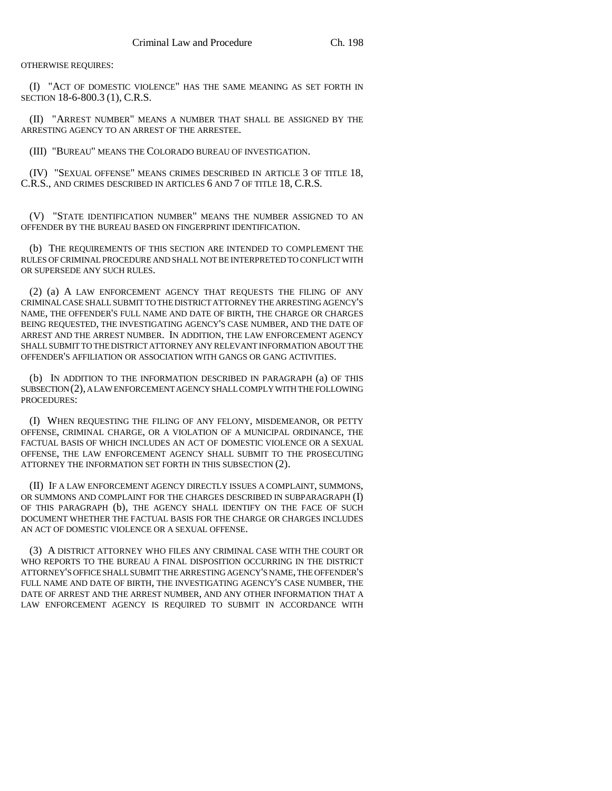OTHERWISE REQUIRES:

(I) "ACT OF DOMESTIC VIOLENCE" HAS THE SAME MEANING AS SET FORTH IN SECTION 18-6-800.3 (1), C.R.S.

(II) "ARREST NUMBER" MEANS A NUMBER THAT SHALL BE ASSIGNED BY THE ARRESTING AGENCY TO AN ARREST OF THE ARRESTEE.

(III) "BUREAU" MEANS THE COLORADO BUREAU OF INVESTIGATION.

(IV) "SEXUAL OFFENSE" MEANS CRIMES DESCRIBED IN ARTICLE 3 OF TITLE 18, C.R.S., AND CRIMES DESCRIBED IN ARTICLES 6 AND 7 OF TITLE 18, C.R.S.

(V) "STATE IDENTIFICATION NUMBER" MEANS THE NUMBER ASSIGNED TO AN OFFENDER BY THE BUREAU BASED ON FINGERPRINT IDENTIFICATION.

(b) THE REQUIREMENTS OF THIS SECTION ARE INTENDED TO COMPLEMENT THE RULES OF CRIMINAL PROCEDURE AND SHALL NOT BE INTERPRETED TO CONFLICT WITH OR SUPERSEDE ANY SUCH RULES.

(2) (a) A LAW ENFORCEMENT AGENCY THAT REQUESTS THE FILING OF ANY CRIMINAL CASE SHALL SUBMIT TO THE DISTRICT ATTORNEY THE ARRESTING AGENCY'S NAME, THE OFFENDER'S FULL NAME AND DATE OF BIRTH, THE CHARGE OR CHARGES BEING REQUESTED, THE INVESTIGATING AGENCY'S CASE NUMBER, AND THE DATE OF ARREST AND THE ARREST NUMBER. IN ADDITION, THE LAW ENFORCEMENT AGENCY SHALL SUBMIT TO THE DISTRICT ATTORNEY ANY RELEVANT INFORMATION ABOUT THE OFFENDER'S AFFILIATION OR ASSOCIATION WITH GANGS OR GANG ACTIVITIES.

(b) IN ADDITION TO THE INFORMATION DESCRIBED IN PARAGRAPH (a) OF THIS SUBSECTION (2), A LAW ENFORCEMENT AGENCY SHALL COMPLY WITH THE FOLLOWING PROCEDURES:

(I) WHEN REQUESTING THE FILING OF ANY FELONY, MISDEMEANOR, OR PETTY OFFENSE, CRIMINAL CHARGE, OR A VIOLATION OF A MUNICIPAL ORDINANCE, THE FACTUAL BASIS OF WHICH INCLUDES AN ACT OF DOMESTIC VIOLENCE OR A SEXUAL OFFENSE, THE LAW ENFORCEMENT AGENCY SHALL SUBMIT TO THE PROSECUTING ATTORNEY THE INFORMATION SET FORTH IN THIS SUBSECTION (2).

(II) IF A LAW ENFORCEMENT AGENCY DIRECTLY ISSUES A COMPLAINT, SUMMONS, OR SUMMONS AND COMPLAINT FOR THE CHARGES DESCRIBED IN SUBPARAGRAPH (I) OF THIS PARAGRAPH (b), THE AGENCY SHALL IDENTIFY ON THE FACE OF SUCH DOCUMENT WHETHER THE FACTUAL BASIS FOR THE CHARGE OR CHARGES INCLUDES AN ACT OF DOMESTIC VIOLENCE OR A SEXUAL OFFENSE.

(3) A DISTRICT ATTORNEY WHO FILES ANY CRIMINAL CASE WITH THE COURT OR WHO REPORTS TO THE BUREAU A FINAL DISPOSITION OCCURRING IN THE DISTRICT ATTORNEY'S OFFICE SHALL SUBMIT THE ARRESTING AGENCY'S NAME, THE OFFENDER'S FULL NAME AND DATE OF BIRTH, THE INVESTIGATING AGENCY'S CASE NUMBER, THE DATE OF ARREST AND THE ARREST NUMBER, AND ANY OTHER INFORMATION THAT A LAW ENFORCEMENT AGENCY IS REQUIRED TO SUBMIT IN ACCORDANCE WITH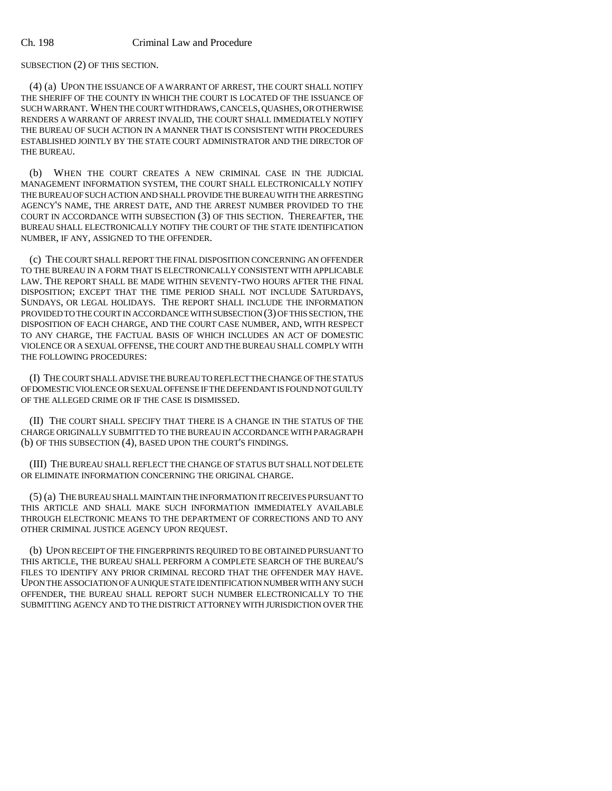SUBSECTION (2) OF THIS SECTION.

(4) (a) UPON THE ISSUANCE OF A WARRANT OF ARREST, THE COURT SHALL NOTIFY THE SHERIFF OF THE COUNTY IN WHICH THE COURT IS LOCATED OF THE ISSUANCE OF SUCH WARRANT. WHEN THE COURT WITHDRAWS, CANCELS, QUASHES, OR OTHERWISE RENDERS A WARRANT OF ARREST INVALID, THE COURT SHALL IMMEDIATELY NOTIFY THE BUREAU OF SUCH ACTION IN A MANNER THAT IS CONSISTENT WITH PROCEDURES ESTABLISHED JOINTLY BY THE STATE COURT ADMINISTRATOR AND THE DIRECTOR OF THE BUREAU.

(b) WHEN THE COURT CREATES A NEW CRIMINAL CASE IN THE JUDICIAL MANAGEMENT INFORMATION SYSTEM, THE COURT SHALL ELECTRONICALLY NOTIFY THE BUREAU OF SUCH ACTION AND SHALL PROVIDE THE BUREAU WITH THE ARRESTING AGENCY'S NAME, THE ARREST DATE, AND THE ARREST NUMBER PROVIDED TO THE COURT IN ACCORDANCE WITH SUBSECTION (3) OF THIS SECTION. THEREAFTER, THE BUREAU SHALL ELECTRONICALLY NOTIFY THE COURT OF THE STATE IDENTIFICATION NUMBER, IF ANY, ASSIGNED TO THE OFFENDER.

(c) THE COURT SHALL REPORT THE FINAL DISPOSITION CONCERNING AN OFFENDER TO THE BUREAU IN A FORM THAT IS ELECTRONICALLY CONSISTENT WITH APPLICABLE LAW. THE REPORT SHALL BE MADE WITHIN SEVENTY-TWO HOURS AFTER THE FINAL DISPOSITION; EXCEPT THAT THE TIME PERIOD SHALL NOT INCLUDE SATURDAYS, SUNDAYS, OR LEGAL HOLIDAYS. THE REPORT SHALL INCLUDE THE INFORMATION PROVIDED TO THE COURT IN ACCORDANCE WITH SUBSECTION (3) OF THIS SECTION, THE DISPOSITION OF EACH CHARGE, AND THE COURT CASE NUMBER, AND, WITH RESPECT TO ANY CHARGE, THE FACTUAL BASIS OF WHICH INCLUDES AN ACT OF DOMESTIC VIOLENCE OR A SEXUAL OFFENSE, THE COURT AND THE BUREAU SHALL COMPLY WITH THE FOLLOWING PROCEDURES:

(I) THE COURT SHALL ADVISE THE BUREAU TO REFLECT THE CHANGE OF THE STATUS OF DOMESTIC VIOLENCE OR SEXUAL OFFENSE IF THE DEFENDANT IS FOUND NOT GUILTY OF THE ALLEGED CRIME OR IF THE CASE IS DISMISSED.

(II) THE COURT SHALL SPECIFY THAT THERE IS A CHANGE IN THE STATUS OF THE CHARGE ORIGINALLY SUBMITTED TO THE BUREAU IN ACCORDANCE WITH PARAGRAPH (b) OF THIS SUBSECTION (4), BASED UPON THE COURT'S FINDINGS.

(III) THE BUREAU SHALL REFLECT THE CHANGE OF STATUS BUT SHALL NOT DELETE OR ELIMINATE INFORMATION CONCERNING THE ORIGINAL CHARGE.

(5) (a) THE BUREAU SHALL MAINTAIN THE INFORMATION IT RECEIVES PURSUANT TO THIS ARTICLE AND SHALL MAKE SUCH INFORMATION IMMEDIATELY AVAILABLE THROUGH ELECTRONIC MEANS TO THE DEPARTMENT OF CORRECTIONS AND TO ANY OTHER CRIMINAL JUSTICE AGENCY UPON REQUEST.

(b) UPON RECEIPT OF THE FINGERPRINTS REQUIRED TO BE OBTAINED PURSUANT TO THIS ARTICLE, THE BUREAU SHALL PERFORM A COMPLETE SEARCH OF THE BUREAU'S FILES TO IDENTIFY ANY PRIOR CRIMINAL RECORD THAT THE OFFENDER MAY HAVE. UPON THE ASSOCIATION OF A UNIQUE STATE IDENTIFICATION NUMBER WITH ANY SUCH OFFENDER, THE BUREAU SHALL REPORT SUCH NUMBER ELECTRONICALLY TO THE SUBMITTING AGENCY AND TO THE DISTRICT ATTORNEY WITH JURISDICTION OVER THE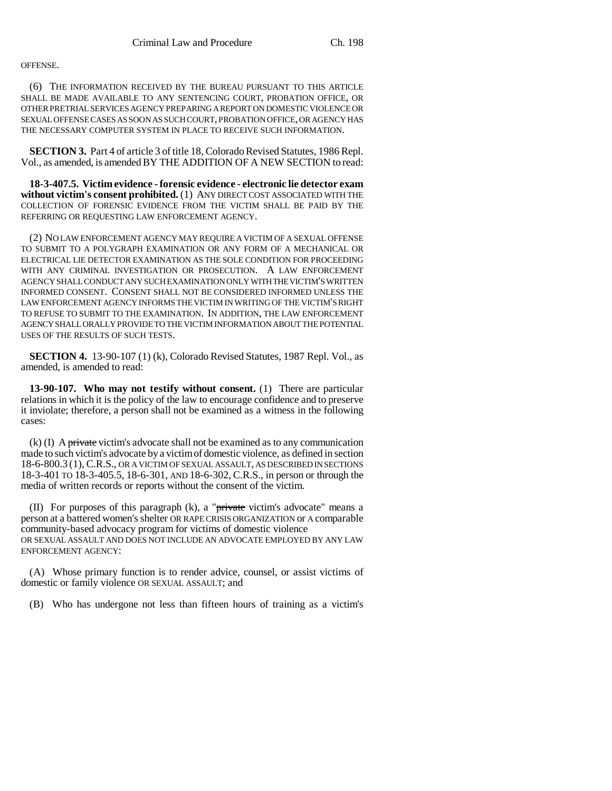## OFFENSE.

(6) THE INFORMATION RECEIVED BY THE BUREAU PURSUANT TO THIS ARTICLE SHALL BE MADE AVAILABLE TO ANY SENTENCING COURT, PROBATION OFFICE, OR OTHER PRETRIAL SERVICES AGENCY PREPARING A REPORT ON DOMESTIC VIOLENCE OR SEXUAL OFFENSE CASES AS SOON AS SUCH COURT, PROBATION OFFICE, OR AGENCY HAS THE NECESSARY COMPUTER SYSTEM IN PLACE TO RECEIVE SUCH INFORMATION.

**SECTION 3.** Part 4 of article 3 of title 18, Colorado Revised Statutes, 1986 Repl. Vol., as amended, is amended BY THE ADDITION OF A NEW SECTION to read:

**18-3-407.5. Victim evidence - forensic evidence - electronic lie detector exam without victim's consent prohibited.** (1) ANY DIRECT COST ASSOCIATED WITH THE COLLECTION OF FORENSIC EVIDENCE FROM THE VICTIM SHALL BE PAID BY THE REFERRING OR REQUESTING LAW ENFORCEMENT AGENCY.

(2) NO LAW ENFORCEMENT AGENCY MAY REQUIRE A VICTIM OF A SEXUAL OFFENSE TO SUBMIT TO A POLYGRAPH EXAMINATION OR ANY FORM OF A MECHANICAL OR ELECTRICAL LIE DETECTOR EXAMINATION AS THE SOLE CONDITION FOR PROCEEDING WITH ANY CRIMINAL INVESTIGATION OR PROSECUTION. A LAW ENFORCEMENT AGENCY SHALL CONDUCT ANY SUCH EXAMINATION ONLY WITH THE VICTIM'S WRITTEN INFORMED CONSENT. CONSENT SHALL NOT BE CONSIDERED INFORMED UNLESS THE LAW ENFORCEMENT AGENCY INFORMS THE VICTIM IN WRITING OF THE VICTIM'S RIGHT TO REFUSE TO SUBMIT TO THE EXAMINATION. IN ADDITION, THE LAW ENFORCEMENT AGENCY SHALL ORALLY PROVIDE TO THE VICTIM INFORMATION ABOUT THE POTENTIAL USES OF THE RESULTS OF SUCH TESTS.

**SECTION 4.** 13-90-107 (1) (k), Colorado Revised Statutes, 1987 Repl. Vol., as amended, is amended to read:

**13-90-107. Who may not testify without consent.** (1) There are particular relations in which it is the policy of the law to encourage confidence and to preserve it inviolate; therefore, a person shall not be examined as a witness in the following cases:

 $(k)$  (I) A private victim's advocate shall not be examined as to any communication made to such victim's advocate by a victim of domestic violence, as defined in section 18-6-800.3 (1), C.R.S., OR A VICTIM OF SEXUAL ASSAULT, AS DESCRIBED IN SECTIONS 18-3-401 TO 18-3-405.5, 18-6-301, AND 18-6-302, C.R.S., in person or through the media of written records or reports without the consent of the victim.

(II) For purposes of this paragraph  $(k)$ , a "<del>private</del> victim's advocate" means a person at a battered women's shelter OR RAPE CRISIS ORGANIZATION or A comparable community-based advocacy program for victims of domestic violence OR SEXUAL ASSAULT AND DOES NOT INCLUDE AN ADVOCATE EMPLOYED BY ANY LAW ENFORCEMENT AGENCY:

(A) Whose primary function is to render advice, counsel, or assist victims of domestic or family violence OR SEXUAL ASSAULT; and

(B) Who has undergone not less than fifteen hours of training as a victim's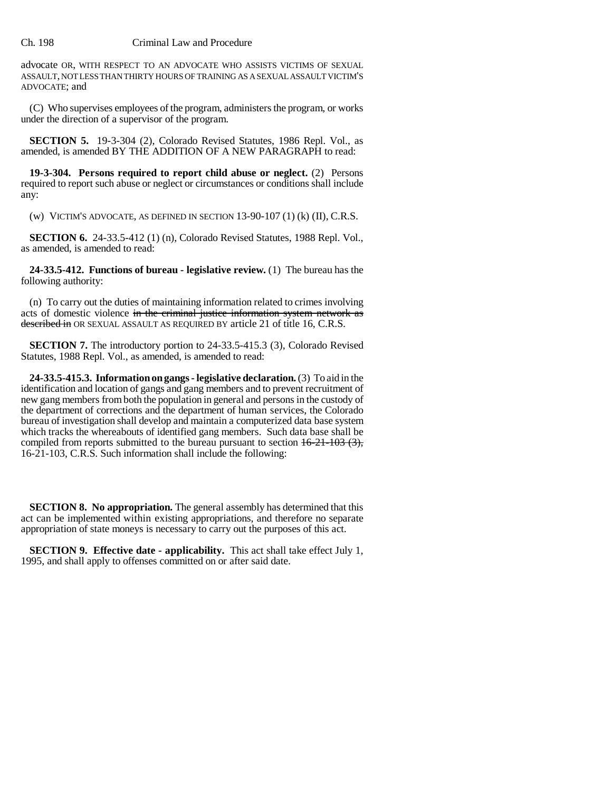## Ch. 198 Criminal Law and Procedure

advocate OR, WITH RESPECT TO AN ADVOCATE WHO ASSISTS VICTIMS OF SEXUAL ASSAULT, NOT LESS THAN THIRTY HOURS OF TRAINING AS A SEXUAL ASSAULT VICTIM'S ADVOCATE; and

(C) Who supervises employees of the program, administers the program, or works under the direction of a supervisor of the program.

**SECTION 5.** 19-3-304 (2), Colorado Revised Statutes, 1986 Repl. Vol., as amended, is amended BY THE ADDITION OF A NEW PARAGRAPH to read:

**19-3-304. Persons required to report child abuse or neglect.** (2) Persons required to report such abuse or neglect or circumstances or conditions shall include any:

(w) VICTIM'S ADVOCATE, AS DEFINED IN SECTION  $13-90-107(1)$  (k)  $(II)$ , C.R.S.

**SECTION 6.** 24-33.5-412 (1) (n), Colorado Revised Statutes, 1988 Repl. Vol., as amended, is amended to read:

**24-33.5-412. Functions of bureau - legislative review.** (1) The bureau has the following authority:

(n) To carry out the duties of maintaining information related to crimes involving acts of domestic violence in the criminal justice information system network as described in OR SEXUAL ASSAULT AS REQUIRED BY article 21 of title 16, C.R.S.

**SECTION 7.** The introductory portion to 24-33.5-415.3 (3), Colorado Revised Statutes, 1988 Repl. Vol., as amended, is amended to read:

**24-33.5-415.3. Information on gangs - legislative declaration.** (3) To aid in the identification and location of gangs and gang members and to prevent recruitment of new gang members from both the population in general and persons in the custody of the department of corrections and the department of human services, the Colorado bureau of investigation shall develop and maintain a computerized data base system which tracks the whereabouts of identified gang members. Such data base shall be compiled from reports submitted to the bureau pursuant to section  $16-21-103$  (3), 16-21-103, C.R.S. Such information shall include the following:

**SECTION 8. No appropriation.** The general assembly has determined that this act can be implemented within existing appropriations, and therefore no separate appropriation of state moneys is necessary to carry out the purposes of this act.

**SECTION 9. Effective date - applicability.** This act shall take effect July 1, 1995, and shall apply to offenses committed on or after said date.